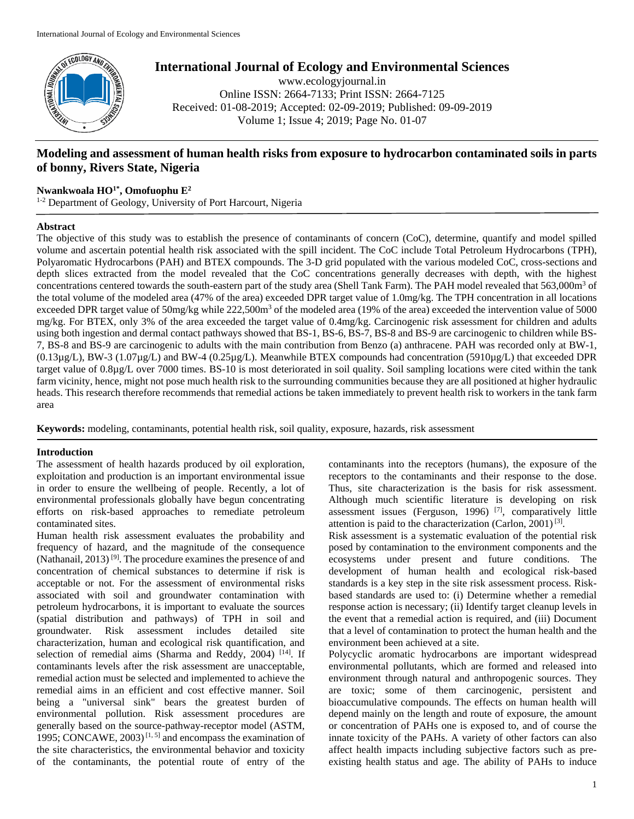

**International Journal of Ecology and Environmental Sciences**

www.ecologyjournal.in Online ISSN: 2664-7133; Print ISSN: 2664-7125 Received: 01-08-2019; Accepted: 02-09-2019; Published: 09-09-2019 Volume 1; Issue 4; 2019; Page No. 01-07

# **Modeling and assessment of human health risks from exposure to hydrocarbon contaminated soils in parts of bonny, Rivers State, Nigeria**

## **Nwankwoala HO1\* , Omofuophu E<sup>2</sup>**

<sup>1-2</sup> Department of Geology, University of Port Harcourt, Nigeria

### **Abstract**

The objective of this study was to establish the presence of contaminants of concern (CoC), determine, quantify and model spilled volume and ascertain potential health risk associated with the spill incident. The CoC include Total Petroleum Hydrocarbons (TPH), Polyaromatic Hydrocarbons (PAH) and BTEX compounds. The 3-D grid populated with the various modeled CoC, cross-sections and depth slices extracted from the model revealed that the CoC concentrations generally decreases with depth, with the highest concentrations centered towards the south-eastern part of the study area (Shell Tank Farm). The PAH model revealed that 563,000m<sup>3</sup> of the total volume of the modeled area (47% of the area) exceeded DPR target value of 1.0mg/kg. The TPH concentration in all locations exceeded DPR target value of 50mg/kg while 222,500m<sup>3</sup> of the modeled area (19% of the area) exceeded the intervention value of 5000 mg/kg. For BTEX, only 3% of the area exceeded the target value of 0.4mg/kg. Carcinogenic risk assessment for children and adults using both ingestion and dermal contact pathways showed that BS-1, BS-6, BS-7, BS-8 and BS-9 are carcinogenic to children while BS-7, BS-8 and BS-9 are carcinogenic to adults with the main contribution from Benzo (a) anthracene. PAH was recorded only at BW-1,  $(0.13\mu g/L)$ , BW-3  $(1.07\mu g/L)$  and BW-4  $(0.25\mu g/L)$ . Meanwhile BTEX compounds had concentration (5910 $\mu$ g/L) that exceeded DPR target value of 0.8µg/L over 7000 times. BS-10 is most deteriorated in soil quality. Soil sampling locations were cited within the tank farm vicinity, hence, might not pose much health risk to the surrounding communities because they are all positioned at higher hydraulic heads. This research therefore recommends that remedial actions be taken immediately to prevent health risk to workers in the tank farm area

**Keywords:** modeling, contaminants, potential health risk, soil quality, exposure, hazards, risk assessment

### **Introduction**

The assessment of health hazards produced by oil exploration, exploitation and production is an important environmental issue in order to ensure the wellbeing of people. Recently, a lot of environmental professionals globally have begun concentrating efforts on risk-based approaches to remediate petroleum contaminated sites.

Human health risk assessment evaluates the probability and frequency of hazard, and the magnitude of the consequence (Nathanail, 2013)<sup>[9]</sup>. The procedure examines the presence of and concentration of chemical substances to determine if risk is acceptable or not. For the assessment of environmental risks associated with soil and groundwater contamination with petroleum hydrocarbons, it is important to evaluate the sources (spatial distribution and pathways) of TPH in soil and groundwater. Risk assessment includes detailed site characterization, human and ecological risk quantification, and selection of remedial aims (Sharma and Reddy, 2004) [14]. If contaminants levels after the risk assessment are unacceptable, remedial action must be selected and implemented to achieve the remedial aims in an efficient and cost effective manner. Soil being a "universal sink" bears the greatest burden of environmental pollution. Risk assessment procedures are generally based on the source-pathway-receptor model (ASTM, 1995; CONCAWE, 2003)<sup>[1,5]</sup> and encompass the examination of the site characteristics, the environmental behavior and toxicity of the contaminants, the potential route of entry of the

contaminants into the receptors (humans), the exposure of the receptors to the contaminants and their response to the dose. Thus, site characterization is the basis for risk assessment. Although much scientific literature is developing on risk assessment issues (Ferguson, 1996)<sup>[7]</sup>, comparatively little attention is paid to the characterization (Carlon, 2001)<sup>[3]</sup>.

Risk assessment is a systematic evaluation of the potential risk posed by contamination to the environment components and the ecosystems under present and future conditions. The development of human health and ecological risk-based standards is a key step in the site risk assessment process. Riskbased standards are used to: (i) Determine whether a remedial response action is necessary; (ii) Identify target cleanup levels in the event that a remedial action is required, and (iii) Document that a level of contamination to protect the human health and the environment been achieved at a site.

Polycyclic aromatic hydrocarbons are important widespread environmental pollutants, which are formed and released into environment through natural and anthropogenic sources. They are toxic; some of them carcinogenic, persistent and bioaccumulative compounds. The effects on human health will depend mainly on the length and route of exposure, the amount or concentration of PAHs one is exposed to, and of course the innate toxicity of the PAHs. A variety of other factors can also affect health impacts including subjective factors such as preexisting health status and age. The ability of PAHs to induce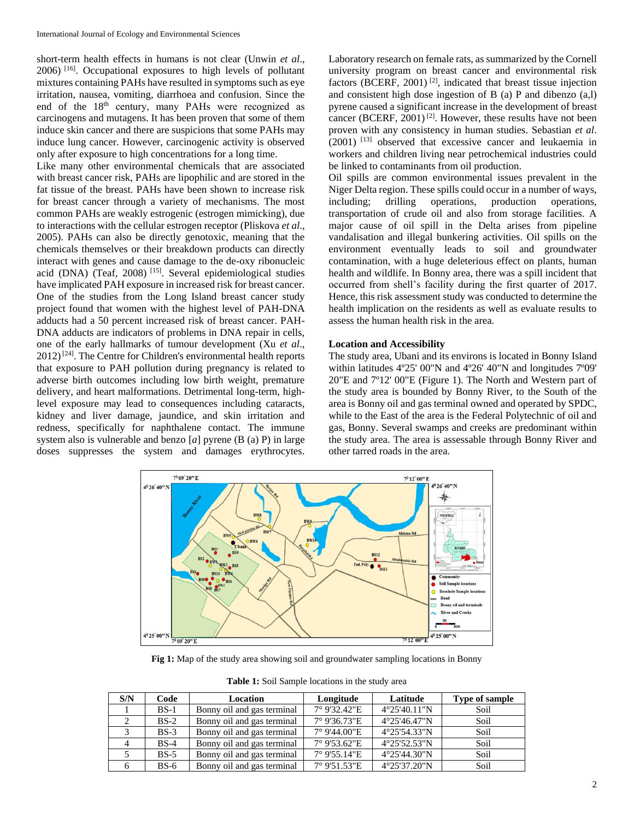short-term health effects in humans is not clear (Unwin *et al*., 2006) [16]. Occupational exposures to high levels of pollutant mixtures containing PAHs have resulted in symptoms such as eye irritation, nausea, vomiting, diarrhoea and confusion. Since the end of the 18<sup>th</sup> century, many PAHs were recognized as carcinogens and mutagens. It has been proven that some of them induce skin cancer and there are suspicions that some PAHs may induce lung cancer. However, carcinogenic activity is observed only after exposure to high concentrations for a long time.

Like many other environmental chemicals that are associated with breast cancer risk, PAHs are lipophilic and are stored in the fat tissue of the breast. PAHs have been shown to increase risk for breast cancer through a variety of mechanisms. The most common PAHs are weakly estrogenic (estrogen mimicking), due to interactions with the cellular estrogen receptor (Pliskova *et al*., 2005). PAHs can also be directly genotoxic, meaning that the chemicals themselves or their breakdown products can directly interact with genes and cause damage to the de-oxy ribonucleic acid (DNA) (Teaf, 2008) [15]. Several epidemiological studies have implicated PAH exposure in increased risk for breast cancer. One of the studies from the Long Island breast cancer study project found that women with the highest level of PAH-DNA adducts had a 50 percent increased risk of breast cancer. PAH-DNA adducts are indicators of problems in DNA repair in cells, one of the early hallmarks of tumour development (Xu *et al*.,  $2012$ <sup>[24]</sup>. The Centre for Children's environmental health reports that exposure to PAH pollution during pregnancy is related to adverse birth outcomes including low birth weight, premature delivery, and heart malformations. Detrimental long-term, highlevel exposure may lead to consequences including cataracts, kidney and liver damage, jaundice, and skin irritation and redness, specifically for naphthalene contact. The immune system also is vulnerable and benzo [*a*] pyrene (B (a) P) in large doses suppresses the system and damages erythrocytes.

Laboratory research on female rats, as summarized by the Cornell university program on breast cancer and environmental risk factors (BCERF, 2001) [2], indicated that breast tissue injection and consistent high dose ingestion of B (a) P and dibenzo (a,l) pyrene caused a significant increase in the development of breast cancer (BCERF, 2001)<sup>[2]</sup>. However, these results have not been proven with any consistency in human studies. Sebastian *et al*. (2001) [13] observed that excessive cancer and leukaemia in workers and children living near petrochemical industries could be linked to contaminants from oil production.

Oil spills are common environmental issues prevalent in the Niger Delta region. These spills could occur in a number of ways, including; drilling operations, production operations, transportation of crude oil and also from storage facilities. A major cause of oil spill in the Delta arises from pipeline vandalisation and illegal bunkering activities. Oil spills on the environment eventually leads to soil and groundwater contamination, with a huge deleterious effect on plants, human health and wildlife. In Bonny area, there was a spill incident that occurred from shell's facility during the first quarter of 2017. Hence, this risk assessment study was conducted to determine the health implication on the residents as well as evaluate results to assess the human health risk in the area.

#### **Location and Accessibility**

The study area, Ubani and its environs is located in Bonny Island within latitudes 4º25' 00"N and 4º26' 40"N and longitudes 7º09' 20"E and 7º12' 00"E (Figure 1). The North and Western part of the study area is bounded by Bonny River, to the South of the area is Bonny oil and gas terminal owned and operated by SPDC, while to the East of the area is the Federal Polytechnic of oil and gas, Bonny. Several swamps and creeks are predominant within the study area. The area is assessable through Bonny River and other tarred roads in the area.



Fig 1: Map of the study area showing soil and groundwater sampling locations in Bonny

**Table 1:** Soil Sample locations in the study area

| S/N | Code   | Location                   | Longitude    | Latitude               | Type of sample |
|-----|--------|----------------------------|--------------|------------------------|----------------|
|     | $BS-1$ | Bonny oil and gas terminal | 7° 9'32.42"E | $4^{\circ}25'40.11''N$ | Soil           |
|     | $BS-2$ | Bonny oil and gas terminal | 7° 9'36.73"E | $4^{\circ}25'46.47''N$ | Soil           |
|     | $BS-3$ | Bonny oil and gas terminal | 7° 9'44.00"E | $4^{\circ}25'54.33''N$ | Soil           |
| 4   | $BS-4$ | Bonny oil and gas terminal | 7° 9'53.62"E | 4°25'52.53"N           | Soil           |
|     | $BS-5$ | Bonny oil and gas terminal | 7° 9'55.14"E | 4°25'44.30"N           | Soil           |
| 6   | $BS-6$ | Bonny oil and gas terminal | 7° 9'51.53"E | 4°25'37.20"N           | Soil           |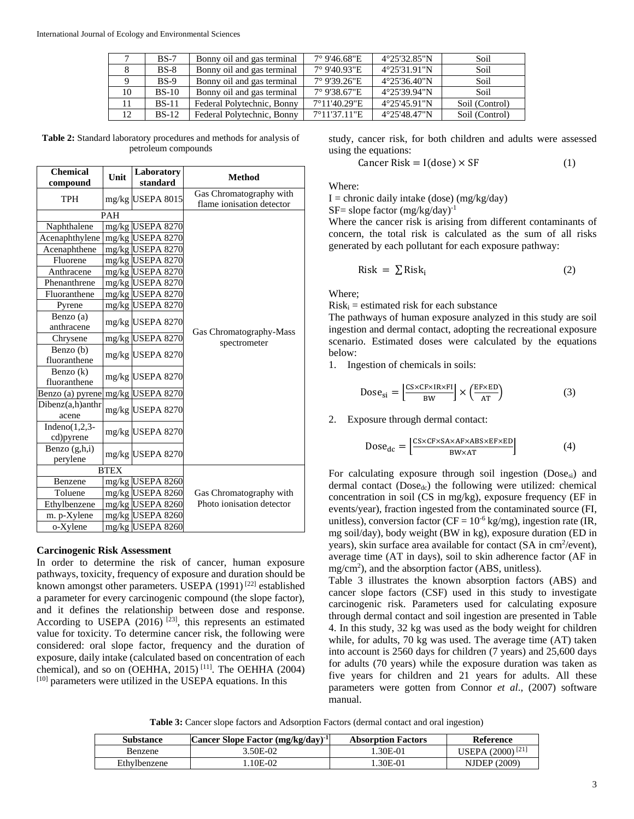|    | $BS-7$  | Bonny oil and gas terminal | 7° 9'46.68"E | $4^{\circ}25'32.85''N$ | Soil           |
|----|---------|----------------------------|--------------|------------------------|----------------|
|    | $BS-8$  | Bonny oil and gas terminal | 7° 9'40.93"E | 4°25'31.91"N           | Soil           |
|    | $BS-9$  | Bonny oil and gas terminal | 7° 9'39.26"E | 4°25'36.40"N           | Soil           |
| 10 | $BS-10$ | Bonny oil and gas terminal | 7° 9'38.67"E | 4°25'39.94"N           | Soil           |
| 11 | $BS-11$ | Federal Polytechnic, Bonny | 7°11'40.29"E | 4°25'45.91"N           | Soil (Control) |
| 12 | $BS-12$ | Federal Polytechnic, Bonny | 7°11'37.11"E | 4°25'48.47"N           | Soil (Control) |

**Table 2:** Standard laboratory procedures and methods for analysis of petroleum compounds

| <b>Chemical</b><br>compound    | Unit        | Laboratory<br>standard | <b>Method</b>                                        |
|--------------------------------|-------------|------------------------|------------------------------------------------------|
| <b>TPH</b>                     |             | mg/kg USEPA 8015       | Gas Chromatography with<br>flame ionisation detector |
|                                | <b>PAH</b>  |                        |                                                      |
| Naphthalene                    |             | mg/kg USEPA 8270       |                                                      |
| Acenaphthylene                 |             | mg/kg USEPA 8270       |                                                      |
| Acenaphthene                   |             | mg/kg USEPA 8270       |                                                      |
| Fluorene                       |             | mg/kg USEPA 8270       |                                                      |
| Anthracene                     |             | mg/kg USEPA 8270       |                                                      |
| Phenanthrene                   |             | mg/kg USEPA 8270       |                                                      |
| Fluoranthene                   |             | mg/kg USEPA 8270       |                                                      |
| Pyrene                         |             | mg/kg USEPA 8270       |                                                      |
| Benzo (a)                      |             | mg/kg USEPA 8270       |                                                      |
| anthracene                     |             |                        | Gas Chromatography-Mass                              |
| Chrysene                       |             | mg/kg USEPA 8270       | spectrometer                                         |
| Benzo (b)                      |             | mg/kg USEPA 8270       |                                                      |
| fluoranthene                   |             |                        |                                                      |
| Benzo (k)                      |             | mg/kg USEPA 8270       |                                                      |
| fluoranthene                   |             |                        |                                                      |
| Benzo (a) pyrene               |             | mg/kg USEPA 8270       |                                                      |
| $Dibenz(a,h)$ anthr<br>acene   |             | mg/kg USEPA 8270       |                                                      |
| Indeno $(1,2,3$ -<br>cd)pyrene |             | mg/kg USEPA 8270       |                                                      |
| Benzo $(g,h,i)$<br>perylene    |             | mg/kg USEPA 8270       |                                                      |
|                                | <b>BTEX</b> |                        |                                                      |
| Benzene                        |             | mg/kg USEPA 8260       |                                                      |
| Toluene                        |             | mg/kg USEPA 8260       | Gas Chromatography with                              |
| Ethylbenzene                   |             | mg/kg USEPA 8260       | Photo ionisation detector                            |
| m. p-Xylene                    |             | mg/kg USEPA 8260       |                                                      |
| o-Xylene                       |             | mg/kg USEPA 8260       |                                                      |

### **Carcinogenic Risk Assessment**

In order to determine the risk of cancer, human exposure pathways, toxicity, frequency of exposure and duration should be known amongst other parameters. USEPA (1991)<sup>[22]</sup> established a parameter for every carcinogenic compound (the slope factor), and it defines the relationship between dose and response. According to USEPA (2016)  $^{[23]}$ , this represents an estimated value for toxicity. To determine cancer risk, the following were considered: oral slope factor, frequency and the duration of exposure, daily intake (calculated based on concentration of each chemical), and so on (OEHHA, 2015) [11]. The OEHHA (2004)  $[10]$  parameters were utilized in the USEPA equations. In this

study, cancer risk, for both children and adults were assessed using the equations:

$$
Cancer Risk = I(dose) \times SF
$$
 (1)

Where:

 $I =$  chronic daily intake (dose) (mg/kg/day)

 $SF = slope factor (mg/kg/day)^{-1}$ 

Where the cancer risk is arising from different contaminants of concern, the total risk is calculated as the sum of all risks generated by each pollutant for each exposure pathway:

$$
Risk = \sum Risk_i
$$
 (2)

Where;

 $Risk<sub>i</sub> = estimated risk for each substance$ 

The pathways of human exposure analyzed in this study are soil ingestion and dermal contact, adopting the recreational exposure scenario. Estimated doses were calculated by the equations below:

1. Ingestion of chemicals in soils:

$$
Dose_{si} = \left[\frac{CS \times CF \times IR \times FI}{BW}\right] \times \left(\frac{EF \times ED}{AT}\right)
$$
 (3)

2. Exposure through dermal contact:

$$
Dose_{dc} = \left[\frac{CS \times CF \times SA \times AF \times AB \times EF \times ED}{BW \times AT}\right]
$$
 (4)

For calculating exposure through soil ingestion (Dose<sub>si</sub>) and dermal contact  $(Dose_{dc})$  the following were utilized: chemical concentration in soil (CS in mg/kg), exposure frequency (EF in events/year), fraction ingested from the contaminated source (FI, unitless), conversion factor ( $CF = 10^{-6}$  kg/mg), ingestion rate (IR, mg soil/day), body weight (BW in kg), exposure duration (ED in years), skin surface area available for contact  $(SA \text{ in cm}^2/\text{event})$ , average time (AT in days), soil to skin adherence factor (AF in mg/cm<sup>2</sup>), and the absorption factor (ABS, unitless).

Table 3 illustrates the known absorption factors (ABS) and cancer slope factors (CSF) used in this study to investigate carcinogenic risk. Parameters used for calculating exposure through dermal contact and soil ingestion are presented in Table 4. In this study, 32 kg was used as the body weight for children while, for adults, 70 kg was used. The average time (AT) taken into account is 2560 days for children (7 years) and 25,600 days for adults (70 years) while the exposure duration was taken as five years for children and 21 years for adults. All these parameters were gotten from Connor *et al*., (2007) software manual.

**Table 3:** Cancer slope factors and Adsorption Factors (dermal contact and oral ingestion)

| Substance    | Cancer Slope Factor $(mg/kg/day)^{-1}$ | <b>Absorption Factors</b> | <b>Reference</b>             |
|--------------|----------------------------------------|---------------------------|------------------------------|
| Benzene      | 3.50E-02                               | .30E-01                   | USEPA (2000) <sup>[21]</sup> |
| Ethylbenzene | .10E-02                                | .30E-01                   | <b>NJDEP</b> (2009)          |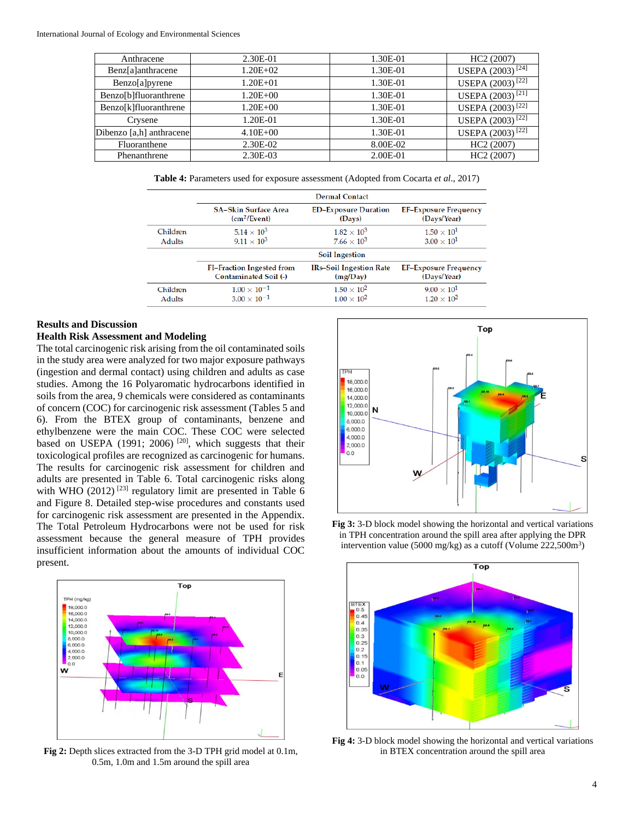| Anthracene               | 2.30E-01     | 1.30E-01 | HC <sub>2</sub> (2007)       |
|--------------------------|--------------|----------|------------------------------|
| Benz[a]anthracene        | $1.20E + 02$ | 1.30E-01 | USEPA (2003) <sup>[24]</sup> |
| Benzo[a]pyrene           | $1.20E + 01$ | 1.30E-01 | USEPA (2003) <sup>[22]</sup> |
| Benzo[b]fluoranthrene    | $1.20E + 00$ | 1.30E-01 | USEPA (2003) <sup>[21]</sup> |
| Benzo[k]fluoranthrene    | $1.20E + 00$ | 1.30E-01 | USEPA (2003) <sup>[22]</sup> |
| Crysene                  | 1.20E-01     | 1.30E-01 | USEPA (2003) <sup>[22]</sup> |
| Dibenzo [a,h] anthracene | $4.10E + 00$ | 1.30E-01 | USEPA (2003) <sup>[22]</sup> |
| Fluoranthene             | 2.30E-02     | 8.00E-02 | HC <sub>2</sub> (2007)       |
| Phenanthrene             | 2.30E-03     | 2.00E-01 | HC <sub>2</sub> (2007)       |
|                          |              |          |                              |

**Table 4:** Parameters used for exposure assessment (Adopted from Cocarta *et al*., 2017)

|               |                                  | <b>Dermal Contact</b>          |                              |
|---------------|----------------------------------|--------------------------------|------------------------------|
|               | <b>SA-Skin Surface Area</b>      | <b>ED-Exposure Duration</b>    | <b>EF-Exposure Frequency</b> |
|               | (cm <sup>2</sup> /Event)         | (Days)                         | (Days/Year)                  |
| Children      | $5.14 \times 10^{3}$             | $1.82 \times 10^{3}$           | $1.50 \times 10^{1}$         |
| <b>Adults</b> | $9.11 \times 10^{3}$             | $7.66 \times 10^{3}$           | $3.00 \times 10^{1}$         |
|               |                                  | <b>Soil Ingestion</b>          |                              |
|               | <b>FI-Fraction Ingested from</b> | <b>IRs-Soil Ingestion Rate</b> | <b>EF-Exposure Frequency</b> |
|               | <b>Contaminated Soil (-)</b>     | (mg/Day)                       | (Days/Year)                  |
| Children      | $1.00 \times 10^{-1}$            | $1.50 \times 10^{2}$           | $9.00 \times 10^{1}$         |
| Adults        | $3.00 \times 10^{-1}$            | $1.00 \times 10^{2}$           | $1.20 \times 10^{2}$         |

#### **Results and Discussion**

# **Health Risk Assessment and Modeling**

The total carcinogenic risk arising from the oil contaminated soils in the study area were analyzed for two major exposure pathways (ingestion and dermal contact) using children and adults as case studies. Among the 16 Polyaromatic hydrocarbons identified in soils from the area, 9 chemicals were considered as contaminants of concern (COC) for carcinogenic risk assessment (Tables 5 and 6). From the BTEX group of contaminants, benzene and ethylbenzene were the main COC. These COC were selected based on USEPA (1991; 2006)<sup>[20]</sup>, which suggests that their toxicological profiles are recognized as carcinogenic for humans. The results for carcinogenic risk assessment for children and adults are presented in Table 6. Total carcinogenic risks along with WHO (2012)<sup>[23]</sup> regulatory limit are presented in Table 6 and Figure 8. Detailed step-wise procedures and constants used for carcinogenic risk assessment are presented in the Appendix. The Total Petroleum Hydrocarbons were not be used for risk assessment because the general measure of TPH provides insufficient information about the amounts of individual COC present.



**Fig 2:** Depth slices extracted from the 3-D TPH grid model at 0.1m, 0.5m, 1.0m and 1.5m around the spill area



**Fig 3:** 3-D block model showing the horizontal and vertical variations in TPH concentration around the spill area after applying the DPR intervention value (5000 mg/kg) as a cutoff (Volume  $222,500m^3$ )



**Fig 4:** 3-D block model showing the horizontal and vertical variations in BTEX concentration around the spill area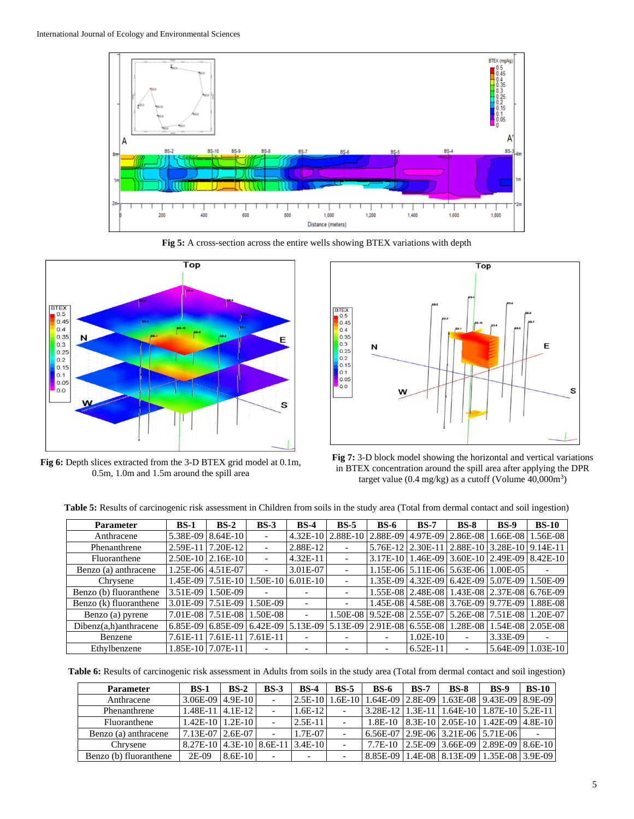

**Fig 5:** A cross-section across the entire wells showing BTEX variations with depth



**Fig 6:** Depth slices extracted from the 3-D BTEX grid model at 0.1m, 0.5m, 1.0m and 1.5m around the spill area



**Fig 7:** 3-D block model showing the horizontal and vertical variations in BTEX concentration around the spill area after applying the DPR target value (0.4 mg/kg) as a cutoff (Volume 40,000m<sup>3</sup>)

**Table 5:** Results of carcinogenic risk assessment in Children from soils in the study area (Total from dermal contact and soil ingestion)

| <b>Parameter</b>         | $BS-1$     | $BS-2$                                    | $BS-3$                   | $BS-4$                   | $BS-5$                   | $BS-6$                   | $BS-7$                     | $BS-8$                                               | <b>BS-9</b> | $BS-10$                                              |
|--------------------------|------------|-------------------------------------------|--------------------------|--------------------------|--------------------------|--------------------------|----------------------------|------------------------------------------------------|-------------|------------------------------------------------------|
| Anthracene               | 5.38E-09   | $8.64E-10$                                |                          | $4.32E-10$               | 2.88E-10                 | 2.88E-09                 | 4.97E-09                   | 2.86E-08                                             |             | $.66E-08$   1.56E-08                                 |
| Phenanthrene             | 2.59E-11   | 7.20E-12                                  | $\overline{\phantom{a}}$ | 2.88E-12                 |                          | 5.76E-12 2.30E-11        |                            | 2.88E-10                                             |             | $ 3.28E-10 9.14E-11 $                                |
| Fluoranthene             |            | $2.50E-10$   $2.16E-10$                   |                          | $4.32E-11$               | $\overline{\phantom{0}}$ |                          |                            |                                                      |             | 3.17E-10   1.46E-09   3.60E-10   2.49E-09   8.42E-10 |
| Benzo (a) anthracene     |            | 1.25E-06 4.51E-07                         |                          | 3.01E-07                 |                          |                          |                            | 1.15E-06 5.11E-06 5.63E-06 1.00E-05                  |             |                                                      |
| Chrysene                 |            | 1.45E-09   7.51E-10   1.50E-10   6.01E-10 |                          |                          |                          |                          |                            | 1.35E-09   4.32E-09   6.42E-09   5.07E-09   1.50E-09 |             |                                                      |
| Benzo (b) fluoranthene   |            | 3.51E-09   1.50E-09                       |                          |                          | $\overline{\phantom{a}}$ |                          |                            | 1.55E-08 2.48E-08 1.43E-08 2.37E-08 6.76E-09         |             |                                                      |
| Benzo (k) fluoranthene   |            | 3.01E-09 7.51E-09                         | 1.50E-09                 |                          | $\overline{\phantom{a}}$ |                          |                            | 1.45E-08 4.58E-08 3.76E-09 9.77E-09 1.88E-08         |             |                                                      |
| Benzo (a) pyrene         |            | 7.01E-08 7.51E-08                         | 1.50E-08                 | $\overline{\phantom{a}}$ |                          |                          | 1.50E-08 9.52E-08 2.55E-07 | 5.26E-08 7.51E-08 1.20E-07                           |             |                                                      |
| $Dibenz(a,h)$ anthracene | $6.85E-09$ | $6.85E-09$                                | 6.42E-09                 | $15.13E-09$              | $5.13E-09$               | $2.91E-08$ 6.55E-08      |                            | 1.28E-08                                             |             | $1.54E-08$   2.05E-08                                |
| Benzene                  | 7.61E-11   | 7.61E-11                                  | 7.61E-11                 |                          |                          |                          | $1.02E-10$                 |                                                      | 3.33E-09    |                                                      |
| Ethylbenzene             |            | 1.85E-10 7.07E-11                         |                          |                          | $\overline{\phantom{0}}$ | $\overline{\phantom{0}}$ | $6.52E-11$                 |                                                      | 5.64E-09    | $1.03E-10$                                           |

**Table 6:** Results of carcinogenic risk assessment in Adults from soils in the study area (Total from dermal contact and soil ingestion)

| <b>Parameter</b>       | $BS-1$                                 | $BS-2$    | $BS-3$ | <b>BS-4</b>              | $BS-5$ | <b>BS-6</b> | <b>BS-7</b> | <b>BS-8</b> | <b>BS-9</b>                                                            | <b>BS-10</b> |
|------------------------|----------------------------------------|-----------|--------|--------------------------|--------|-------------|-------------|-------------|------------------------------------------------------------------------|--------------|
| Anthracene             | $3.06E-09$   $4.9E-10$                 |           |        |                          |        |             |             |             | 2.5E-10   1.6E-10   1.64E-09   2.8E-09   1.63E-08   9.43E-09   8.9E-09 |              |
| Phenanthrene           | $1.48E - 11$   $4.1E - 12$             |           |        | $1.6E-12$                |        |             |             |             | 3.28E-12   1.3E-11   1.64E-10   1.87E-10   5.2E-11                     |              |
| Fluoranthene           | $1.42E-10$   $1.2E-10$                 |           |        | $2.5E-11$                |        |             |             |             | 1.8E-10   8.3E-10   2.05E-10   1.42E-09   4.8E-10                      |              |
| Benzo (a) anthracene   | 7.13E-07 2.6E-07                       |           |        | 1.7E-07                  |        |             |             |             | 6.56E-07 2.9E-06 3.21E-06 5.71E-06                                     |              |
| Chrysene               | 8.27E-10   4.3E-10   8.6E-11   3.4E-10 |           |        |                          |        |             |             |             | 7.7E-10 2.5E-09 3.66E-09 2.89E-09 8.6E-10                              |              |
| Benzo (b) fluoranthene | $2E-09$                                | $8.6E-10$ |        | $\overline{\phantom{0}}$ |        |             |             |             | 8.85E-09   1.4E-08   8.13E-09   1.35E-08   3.9E-09                     |              |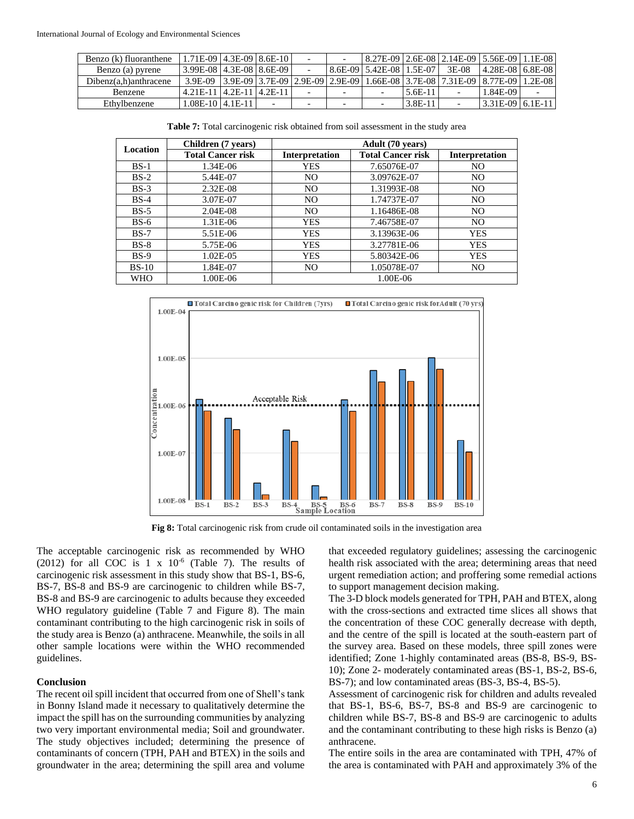| Benzo (k) fluoranthene   | 1.71E-09   4.3E-09   8.6E-10       |                          |  | 8.27E-09   2.6E-08   2.14E-09   5.56E-09   1.1E-08                                                   |         |                     |  |
|--------------------------|------------------------------------|--------------------------|--|------------------------------------------------------------------------------------------------------|---------|---------------------|--|
| Benzo (a) pyrene         | $-3.99E-08$   4.3E-08   8.6E-09    |                          |  | $18.6E-09$   5.42E-08   1.5E-07   3E-08                                                              |         | $14.28E-08$ 6.8E-08 |  |
| $Dibenz(a,h)$ anthracene |                                    |                          |  | 3.9E-09   3.9E-09   3.7E-09   2.9E-09   2.9E-09   1.66E-08   3.7E-08   7.31E-09   8.77E-09   1.2E-08 |         |                     |  |
| <b>Benzene</b>           | $4.21E-11$   $4.2E-11$   $4.2E-11$ |                          |  |                                                                                                      | 5.6E-11 | 1.84E-09            |  |
| Ethylbenzene             | $1.08E - 1014.1E - 11$             | $\overline{\phantom{0}}$ |  |                                                                                                      | 3.8E-11 | 3.31E-09 6.1E-11    |  |

**Table 7:** Total carcinogenic risk obtained from soil assessment in the study area

| <b>Location</b> | Children (7 years)       |                       | Adult (70 years)         |                       |  |  |  |  |  |
|-----------------|--------------------------|-----------------------|--------------------------|-----------------------|--|--|--|--|--|
|                 | <b>Total Cancer risk</b> | <b>Interpretation</b> | <b>Total Cancer risk</b> | <b>Interpretation</b> |  |  |  |  |  |
| $BS-1$          | 1.34E-06                 | <b>YES</b>            | 7.65076E-07              | NO.                   |  |  |  |  |  |
| $BS-2$          | 5.44E-07                 | N <sub>O</sub>        | 3.09762E-07              | N <sub>O</sub>        |  |  |  |  |  |
| $BS-3$          | $2.32E-08$               | N <sub>O</sub>        | 1.31993E-08              | N <sub>O</sub>        |  |  |  |  |  |
| $BS-4$          | 3.07E-07                 | NO.                   | 1.74737E-07              | N <sub>O</sub>        |  |  |  |  |  |
| $BS-5$          | $2.04E-08$               | NO.                   | 1.16486E-08              | N <sub>O</sub>        |  |  |  |  |  |
| $BS-6$          | 1.31E-06                 | <b>YES</b>            | 7.46758E-07              | N <sub>O</sub>        |  |  |  |  |  |
| $BS-7$          | 5.51E-06                 | <b>YES</b>            | 3.13963E-06              | <b>YES</b>            |  |  |  |  |  |
| $BS-8$          | 5.75E-06                 | <b>YES</b>            | 3.27781E-06              | <b>YES</b>            |  |  |  |  |  |
| $BS-9$          | 1.02E-05                 | <b>YES</b>            | 5.80342E-06              | YES                   |  |  |  |  |  |
| $BS-10$         | 1.84E-07                 | NO.                   | 1.05078E-07              | N <sub>O</sub>        |  |  |  |  |  |
| <b>WHO</b>      | 1.00E-06                 |                       | 1.00E-06                 |                       |  |  |  |  |  |



**Fig 8:** Total carcinogenic risk from crude oil contaminated soils in the investigation area

The acceptable carcinogenic risk as recommended by WHO  $(2012)$  for all COC is 1 x  $10^{-6}$  (Table 7). The results of carcinogenic risk assessment in this study show that BS-1, BS-6, BS-7, BS-8 and BS-9 are carcinogenic to children while BS-7, BS-8 and BS-9 are carcinogenic to adults because they exceeded WHO regulatory guideline (Table 7 and Figure 8). The main contaminant contributing to the high carcinogenic risk in soils of the study area is Benzo (a) anthracene. Meanwhile, the soils in all other sample locations were within the WHO recommended guidelines.

#### **Conclusion**

The recent oil spill incident that occurred from one of Shell's tank in Bonny Island made it necessary to qualitatively determine the impact the spill has on the surrounding communities by analyzing two very important environmental media; Soil and groundwater. The study objectives included; determining the presence of contaminants of concern (TPH, PAH and BTEX) in the soils and groundwater in the area; determining the spill area and volume

that exceeded regulatory guidelines; assessing the carcinogenic health risk associated with the area; determining areas that need urgent remediation action; and proffering some remedial actions to support management decision making.

The 3-D block models generated for TPH, PAH and BTEX, along with the cross-sections and extracted time slices all shows that the concentration of these COC generally decrease with depth, and the centre of the spill is located at the south-eastern part of the survey area. Based on these models, three spill zones were identified; Zone 1-highly contaminated areas (BS-8, BS-9, BS-10); Zone 2- moderately contaminated areas (BS-1, BS-2, BS-6, BS-7); and low contaminated areas (BS-3, BS-4, BS-5).

Assessment of carcinogenic risk for children and adults revealed that BS-1, BS-6, BS-7, BS-8 and BS-9 are carcinogenic to children while BS-7, BS-8 and BS-9 are carcinogenic to adults and the contaminant contributing to these high risks is Benzo (a) anthracene.

The entire soils in the area are contaminated with TPH, 47% of the area is contaminated with PAH and approximately 3% of the